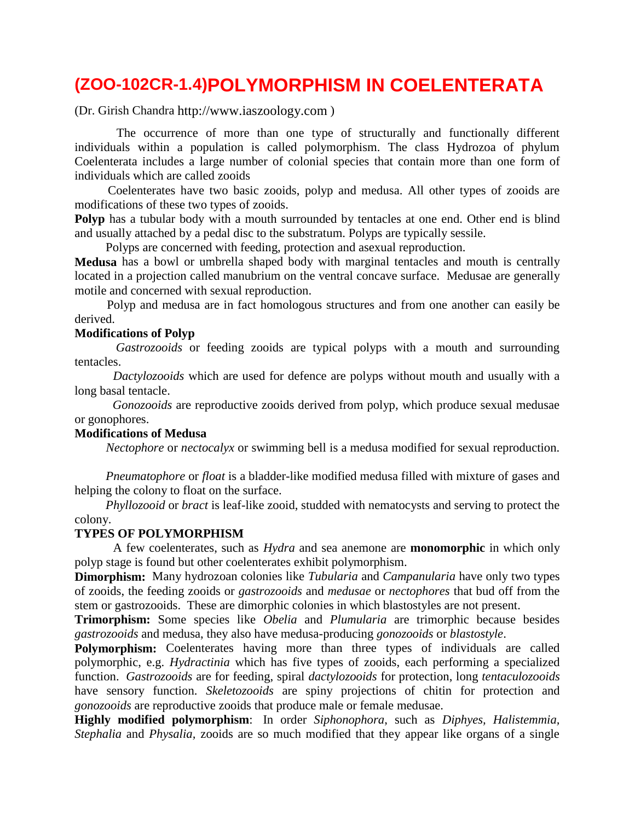# **(ZOO-102CR-1.4)POLYMORPHISM IN COELENTERATA**

(Dr. Girish Chandra http://www.iaszoology.com )

 The occurrence of more than one type of structurally and functionally different individuals within a population is called polymorphism. The class Hydrozoa of phylum Coelenterata includes a large number of colonial species that contain more than one form of individuals which are called zooids

 Coelenterates have two basic zooids, polyp and medusa. All other types of zooids are modifications of these two types of zooids.

**Polyp** has a tubular body with a mouth surrounded by tentacles at one end. Other end is blind and usually attached by a pedal disc to the substratum. Polyps are typically sessile.

Polyps are concerned with feeding, protection and asexual reproduction.

**Medusa** has a bowl or umbrella shaped body with marginal tentacles and mouth is centrally located in a projection called manubrium on the ventral concave surface. Medusae are generally motile and concerned with sexual reproduction.

 Polyp and medusa are in fact homologous structures and from one another can easily be derived.

#### **Modifications of Polyp**

 *Gastrozooids* or feeding zooids are typical polyps with a mouth and surrounding tentacles.

 *Dactylozooids* which are used for defence are polyps without mouth and usually with a long basal tentacle.

 *Gonozooids* are reproductive zooids derived from polyp, which produce sexual medusae or gonophores.

#### **Modifications of Medusa**

 *Nectophore* or *nectocalyx* or swimming bell is a medusa modified for sexual reproduction.

 *Pneumatophore* or *float* is a bladder-like modified medusa filled with mixture of gases and helping the colony to float on the surface.

 *Phyllozooid* or *bract* is leaf-like zooid, studded with nematocysts and serving to protect the colony.

#### **TYPES OF POLYMORPHISM**

 A few coelenterates, such as *Hydra* and sea anemone are **monomorphic** in which only polyp stage is found but other coelenterates exhibit polymorphism.

**Dimorphism:** Many hydrozoan colonies like *Tubularia* and *Campanularia* have only two types of zooids, the feeding zooids or *gastrozooids* and *medusae* or *nectophores* that bud off from the stem or gastrozooids. These are dimorphic colonies in which blastostyles are not present.

**Trimorphism:** Some species like *Obelia* and *Plumularia* are trimorphic because besides *gastrozooids* and medusa, they also have medusa-producing *gonozooids* or *blastostyle*.

**Polymorphism:** Coelenterates having more than three types of individuals are called polymorphic, e.g. *Hydractinia* which has five types of zooids, each performing a specialized function. *Gastrozooids* are for feeding, spiral *dactylozooids* for protection, long *tentaculozooids* have sensory function. *Skeletozooids* are spiny projections of chitin for protection and *gonozooids* are reproductive zooids that produce male or female medusae.

**Highly modified polymorphism**: In order *Siphonophora*, such as *Diphyes, Halistemmia, Stephalia* and *Physalia,* zooids are so much modified that they appear like organs of a single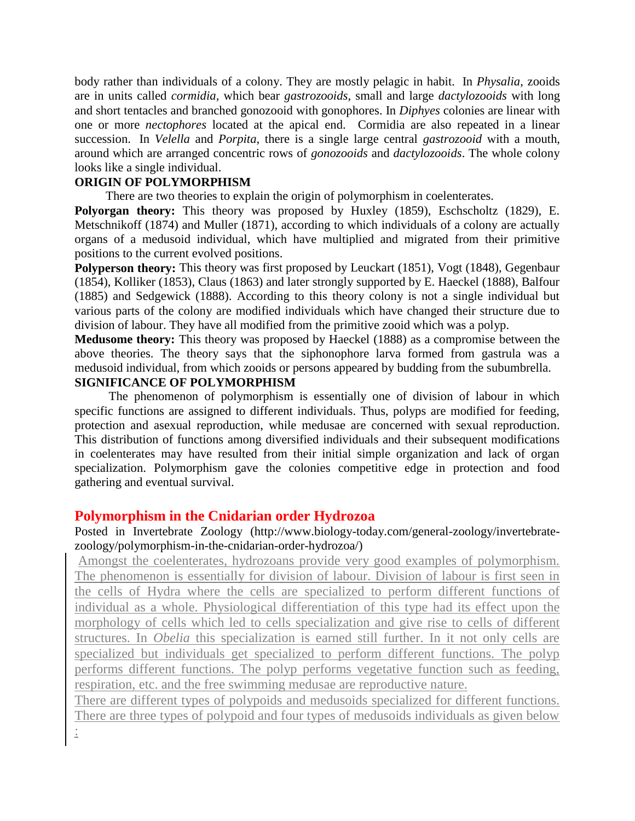body rather than individuals of a colony. They are mostly pelagic in habit. In *Physalia*, zooids are in units called *cormidia,* which bear *gastrozooids*, small and large *dactylozooids* with long and short tentacles and branched gonozooid with gonophores. In *Diphyes* colonies are linear with one or more *nectophores* located at the apical end. Cormidia are also repeated in a linear succession. In *Velella* and *Porpita*, there is a single large central *gastrozooid* with a mouth, around which are arranged concentric rows of *gonozooids* and *dactylozooids*. The whole colony looks like a single individual.

#### **ORIGIN OF POLYMORPHISM**

There are two theories to explain the origin of polymorphism in coelenterates.

**Polyorgan theory:** This theory was proposed by Huxley (1859), Eschscholtz (1829), E. Metschnikoff (1874) and Muller (1871), according to which individuals of a colony are actually organs of a medusoid individual, which have multiplied and migrated from their primitive positions to the current evolved positions.

**Polyperson theory:** This theory was first proposed by Leuckart (1851), Vogt (1848), Gegenbaur (1854), Kolliker (1853), Claus (1863) and later strongly supported by E. Haeckel (1888), Balfour (1885) and Sedgewick (1888). According to this theory colony is not a single individual but various parts of the colony are modified individuals which have changed their structure due to division of labour. They have all modified from the primitive zooid which was a polyp.

**Medusome theory:** This theory was proposed by Haeckel (1888) as a compromise between the above theories. The theory says that the siphonophore larva formed from gastrula was a medusoid individual, from which zooids or persons appeared by budding from the subumbrella.

### **SIGNIFICANCE OF POLYMORPHISM**

 The phenomenon of polymorphism is essentially one of division of labour in which specific functions are assigned to different individuals. Thus, polyps are modified for feeding, protection and asexual reproduction, while medusae are concerned with sexual reproduction. This distribution of functions among diversified individuals and their subsequent modifications in coelenterates may have resulted from their initial simple organization and lack of organ specialization. Polymorphism gave the colonies competitive edge in protection and food gathering and eventual survival.

### **Polymorphism in the Cnidarian order Hydrozoa**

Posted in [Invertebrate Zoology](http://www.biology-today.com/category/general-zoology/invertebrate-zoology/) [\(http://www.biology-today.com/general-zoology/invertebrate](http://www.biology-today.com/general-zoology/invertebrate-zoology/polymorphism-in-the-cnidarian-order-hydrozoa/)[zoology/polymorphism-in-the-cnidarian-order-hydrozoa/\)](http://www.biology-today.com/general-zoology/invertebrate-zoology/polymorphism-in-the-cnidarian-order-hydrozoa/)

Amongst the coelenterates, hydrozoans provide very good examples of polymorphism. The phenomenon is essentially for division of labour. Division of labour is first seen in the cells of Hydra where the cells are specialized to perform different functions of individual as a whole. Physiological differentiation of this type had its effect upon the morphology of cells which led to cells specialization and give rise to cells of different structures. In *Obelia* this specialization is earned still further. In it not only cells are specialized but individuals get specialized to perform different functions. The polyp performs different functions. The polyp performs vegetative function such as feeding, respiration, etc. and the free swimming medusae are reproductive nature.

There are different types of polypoids and medusoids specialized for different functions. There are three types of polypoid and four types of medusoids individuals as given below :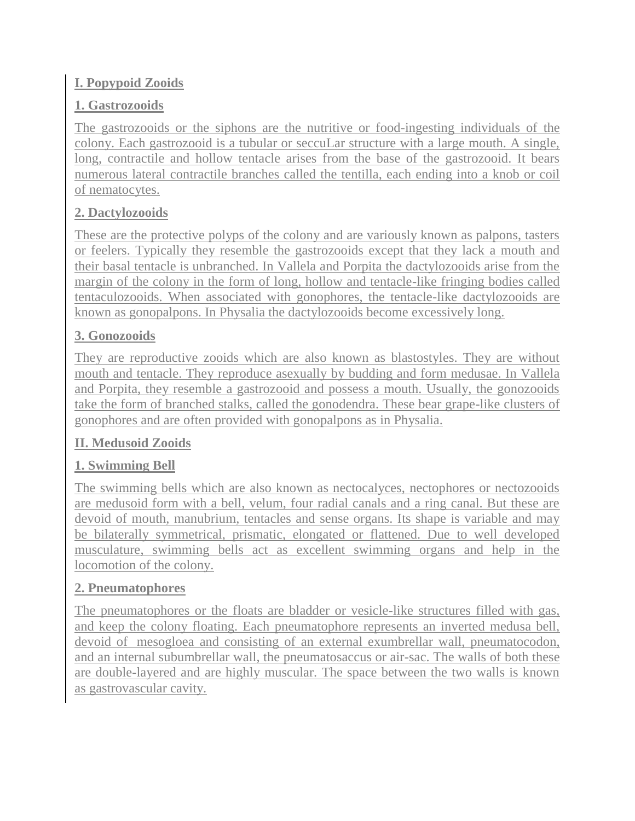### **I. Popypoid Zooids**

# **1. Gastrozooids**

The gastrozooids or the siphons are the nutritive or food-ingesting individuals of the colony. Each gastrozooid is a tubular or seccuLar structure with a large mouth. A single, long, contractile and hollow tentacle arises from the base of the gastrozooid. It bears numerous lateral contractile branches called the tentilla, each ending into a knob or coil of nematocytes.

# **2. Dactylozooids**

These are the protective polyps of the colony and are variously known as palpons, tasters or feelers. Typically they resemble the gastrozooids except that they lack a mouth and their basal tentacle is unbranched. In Vallela and Porpita the dactylozooids arise from the margin of the colony in the form of long, hollow and tentacle-like fringing bodies called tentaculozooids. When associated with gonophores, the tentacle-like dactylozooids are known as gonopalpons. In Physalia the dactylozooids become excessively long.

# **3. Gonozooids**

They are reproductive zooids which are also known as blastostyles. They are without mouth and tentacle. They reproduce asexually by budding and form medusae. In Vallela and Porpita, they resemble a gastrozooid and possess a mouth. Usually, the gonozooids take the form of branched stalks, called the gonodendra. These bear grape-like clusters of gonophores and are often provided with gonopalpons as in Physalia.

### **II. Medusoid Zooids**

# **1. Swimming Bell**

The swimming bells which are also known as nectocalyces, nectophores or nectozooids are medusoid form with a bell, velum, four radial canals and a ring canal. But these are devoid of mouth, manubrium, tentacles and sense organs. Its shape is variable and may be bilaterally symmetrical, prismatic, elongated or flattened. Due to well developed musculature, swimming bells act as excellent swimming organs and help in the locomotion of the colony.

### **2. Pneumatophores**

The pneumatophores or the floats are bladder or vesicle-like structures filled with gas, and keep the colony floating. Each pneumatophore represents an inverted medusa bell, devoid of mesogloea and consisting of an external exumbrellar wall, pneumatocodon, and an internal subumbrellar wall, the pneumatosaccus or air-sac. The walls of both these are double-layered and are highly muscular. The space between the two walls is known as gastrovascular cavity.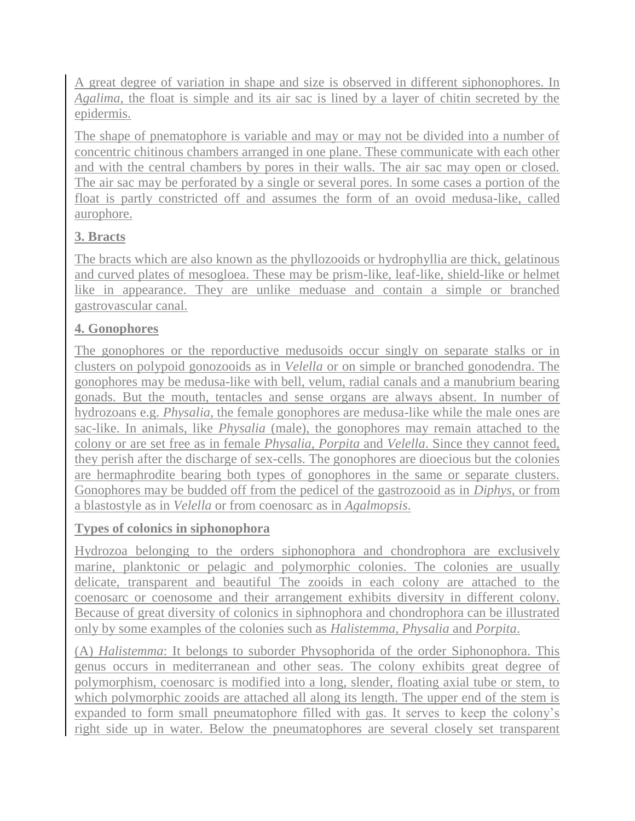A great degree of variation in shape and size is observed in different siphonophores. In *Agalima*, the float is simple and its air sac is lined by a layer of chitin secreted by the epidermis.

The shape of pnematophore is variable and may or may not be divided into a number of concentric chitinous chambers arranged in one plane. These communicate with each other and with the central chambers by pores in their walls. The air sac may open or closed. The air sac may be perforated by a single or several pores. In some cases a portion of the float is partly constricted off and assumes the form of an ovoid medusa-like, called aurophore.

## **3. Bracts**

The bracts which are also known as the phyllozooids or hydrophyllia are thick, gelatinous and curved plates of mesogloea. These may be prism-like, leaf-like, shield-like or helmet like in appearance. They are unlike meduase and contain a simple or branched gastrovascular canal.

### **4. Gonophores**

The gonophores or the reporductive medusoids occur singly on separate stalks or in clusters on polypoid gonozooids as in *Velella* or on simple or branched gonodendra. The gonophores may be medusa-like with bell, velum, radial canals and a manubrium bearing gonads. But the mouth, tentacles and sense organs are always absent. In number of hydrozoans e.g. *Physalia*, the female gonophores are medusa-like while the male ones are sac-like. In animals, like *Physalia* (male), the gonophores may remain attached to the colony or are set free as in female *Physalia, Porpita* and *Velella*. Since they cannot feed, they perish after the discharge of sex-cells. The gonophores are dioecious but the colonies are hermaphrodite bearing both types of gonophores in the same or separate clusters. Gonophores may be budded off from the pedicel of the gastrozooid as in *Diphys*, or from a blastostyle as in *Velella* or from coenosarc as in *Agalmopsis*.

### **Types of colonics in siphonophora**

Hydrozoa belonging to the orders siphonophora and chondrophora are exclusively marine, planktonic or pelagic and polymorphic colonies. The colonies are usually delicate, transparent and beautiful The zooids in each colony are attached to the coenosarc or coenosome and their arrangement exhibits diversity in different colony. Because of great diversity of colonics in siphnophora and chondrophora can be illustrated only by some examples of the colonies such as *Halistemma, Physalia* and *Porpita*.

(A) *Halistemma*: It belongs to suborder Physophorida of the order Siphonophora. This genus occurs in mediterranean and other seas. The colony exhibits great degree of polymorphism, coenosarc is modified into a long, slender, floating axial tube or stem, to which polymorphic zooids are attached all along its length. The upper end of the stem is expanded to form small pneumatophore filled with gas. It serves to keep the colony's right side up in water. Below the pneumatophores are several closely set transparent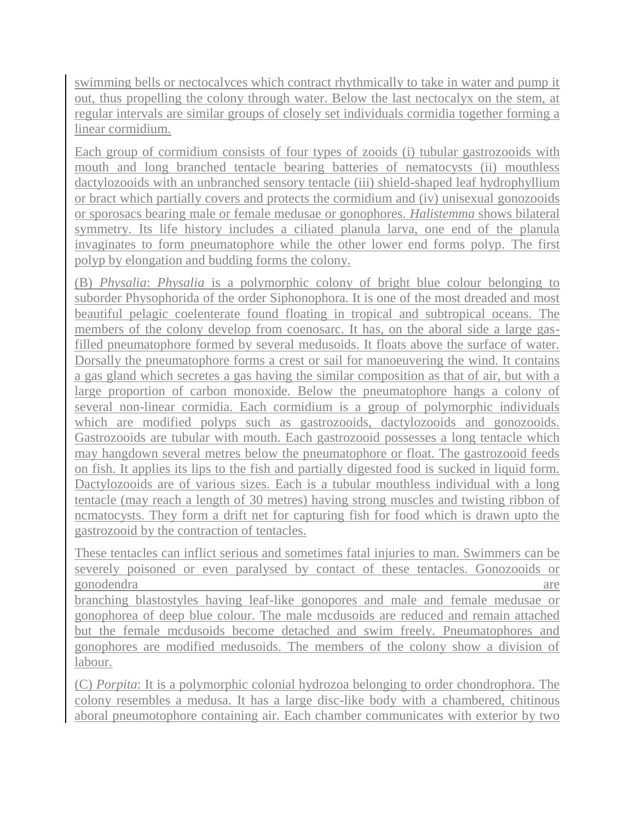swimming bells or nectocalyces which contract rhythmically to take in water and pump it out, thus propelling the colony through water. Below the last nectocalyx on the stem, at regular intervals are similar groups of closely set individuals cormidia together forming a linear cormidium.

Each group of cormidium consists of four types of zooids (i) tubular gastrozooids with mouth and long branched tentacle bearing batteries of nematocysts (ii) mouthless dactylozooids with an unbranched sensory tentacle (iii) shield-shaped leaf hydrophyllium or bract which partially covers and protects the cormidium and (iv) unisexual gonozooids or sporosacs bearing male or female medusae or gonophores. *Halistemma* shows bilateral symmetry. Its life history includes a ciliated planula larva, one end of the planula invaginates to form pneumatophore while the other lower end forms polyp. The first polyp by elongation and budding forms the colony.

(B) *Physalia*: *Physalia* is a polymorphic colony of bright blue colour belonging to suborder Physophorida of the order Siphonophora. It is one of the most dreaded and most beautiful pelagic coelenterate found floating in tropical and subtropical oceans. The members of the colony develop from coenosarc. It has, on the aboral side a large gasfilled pneumatophore formed by several medusoids. It floats above the surface of water. Dorsally the pneumatophore forms a crest or sail for manoeuvering the wind. It contains a gas gland which secretes a gas having the similar composition as that of air, but with a large proportion of carbon monoxide. Below the pneumatophore hangs a colony of several non-linear cormidia. Each cormidium is a group of polymorphic individuals which are modified polyps such as gastrozooids, dactylozooids and gonozooids. Gastrozooids are tubular with mouth. Each gastrozooid possesses a long tentacle which may hangdown several metres below the pneumatophore or float. The gastrozooid feeds on fish. It applies its lips to the fish and partially digested food is sucked in liquid form. Dactylozooids are of various sizes. Each is a tubular mouthless individual with a long tentacle (may reach a length of 30 metres) having strong muscles and twisting ribbon of ncmatocysts. They form a drift net for capturing fish for food which is drawn upto the gastrozooid by the contraction of tentacles.

These tentacles can inflict serious and sometimes fatal injuries to man. Swimmers can be severely poisoned or even paralysed by contact of these tentacles. Gonozooids or gonodendra are branching blastostyles having leaf-like gonopores and male and female medusae or gonophorea of deep blue colour. The male mcdusoids are reduced and remain attached but the female mcdusoids become detached and swim freely. Pneumatophores and gonophores are modified medusoids. The members of the colony show a division of labour.

(C) *Porpita*: It is a polymorphic colonial hydrozoa belonging to order chondrophora. The colony resembles a medusa. It has a large disc-like body with a chambered, chitinous aboral pneumotophore containing air. Each chamber communicates with exterior by two